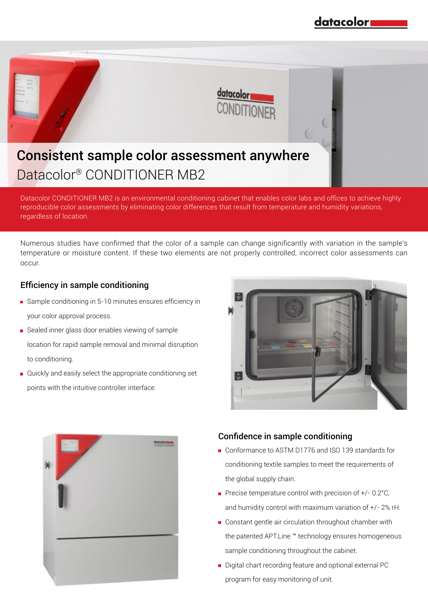

Datacolor CONDITIONER MB2 is an environmental conditioning cabinet that enables color labs and offices to achieve highly reproducible color assessments by eliminating color differences that result from temperature and humidity variations, regardless of location.

Numerous studies have confirmed that the color of a sample can change significantly with variation in the sample's temperature or moisture content. If these two elements are not properly controlled, incorrect color assessments can occur.

### Efficiency in sample conditioning

- Sample conditioning in 5-10 minutes ensures efficiency in your color approval process.
- Sealed inner glass door enables viewing of sample location for rapid sample removal and minimal disruption to conditioning.
- Quickly and easily select the appropriate conditioning set points with the intuitive controller interface.





#### Confidence in sample conditioning

- Conformance to ASTM D1776 and ISO 139 standards for conditioning textile samples to meet the requirements of the global supply chain.
- Precise temperature control with precision of  $+/- 0.2$ °C, and humidity control with maximum variation of +/- 2% rH.
- Constant gentle air circulation throughout chamber with the patented APT.Line ™ technology ensures homogeneous sample conditioning throughout the cabinet.
- Digital chart recording feature and optional external PC program for easy monitoring of unit.